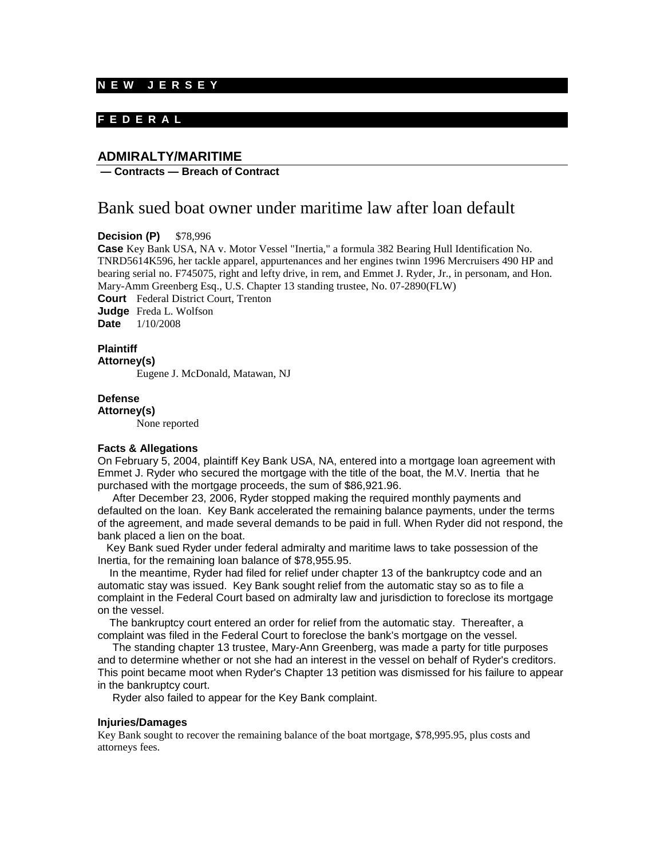### **N E W J E R S E Y**

# **F E D E R A L**

# **ADMIRALTY/MARITIME**

### **— Contracts — Breach of Contract**

# Bank sued boat owner under maritime law after loan default

**Decision (P)** \$78,996

**Case** Key Bank USA, NA v. Motor Vessel "Inertia," a formula 382 Bearing Hull Identification No. TNRD5614K596, her tackle apparel, appurtenances and her engines twinn 1996 Mercruisers 490 HP and bearing serial no. F745075, right and lefty drive, in rem, and Emmet J. Ryder, Jr., in personam, and Hon. Mary-Amm Greenberg Esq., U.S. Chapter 13 standing trustee, No. 07-2890(FLW) **Court** Federal District Court, Trenton **Judge** Freda L. Wolfson

**Date** 1/10/2008

#### **Plaintiff Attorney(s)**

Eugene J. McDonald, Matawan, NJ

### **Defense**

**Attorney(s)**

None reported

### **Facts & Allegations**

On February 5, 2004, plaintiff Key Bank USA, NA, entered into a mortgage loan agreement with Emmet J. Ryder who secured the mortgage with the title of the boat, the M.V. Inertia that he purchased with the mortgage proceeds, the sum of \$86,921.96.

 After December 23, 2006, Ryder stopped making the required monthly payments and defaulted on the loan. Key Bank accelerated the remaining balance payments, under the terms of the agreement, and made several demands to be paid in full. When Ryder did not respond, the bank placed a lien on the boat.

 Key Bank sued Ryder under federal admiralty and maritime laws to take possession of the Inertia, for the remaining loan balance of \$78,955.95.

 In the meantime, Ryder had filed for relief under chapter 13 of the bankruptcy code and an automatic stay was issued. Key Bank sought relief from the automatic stay so as to file a complaint in the Federal Court based on admiralty law and jurisdiction to foreclose its mortgage on the vessel.

 The bankruptcy court entered an order for relief from the automatic stay. Thereafter, a complaint was filed in the Federal Court to foreclose the bank's mortgage on the vessel.

 The standing chapter 13 trustee, Mary-Ann Greenberg, was made a party for title purposes and to determine whether or not she had an interest in the vessel on behalf of Ryder's creditors. This point became moot when Ryder's Chapter 13 petition was dismissed for his failure to appear in the bankruptcy court.

Ryder also failed to appear for the Key Bank complaint.

#### **Injuries/Damages**

Key Bank sought to recover the remaining balance of the boat mortgage, \$78,995.95, plus costs and attorneys fees.